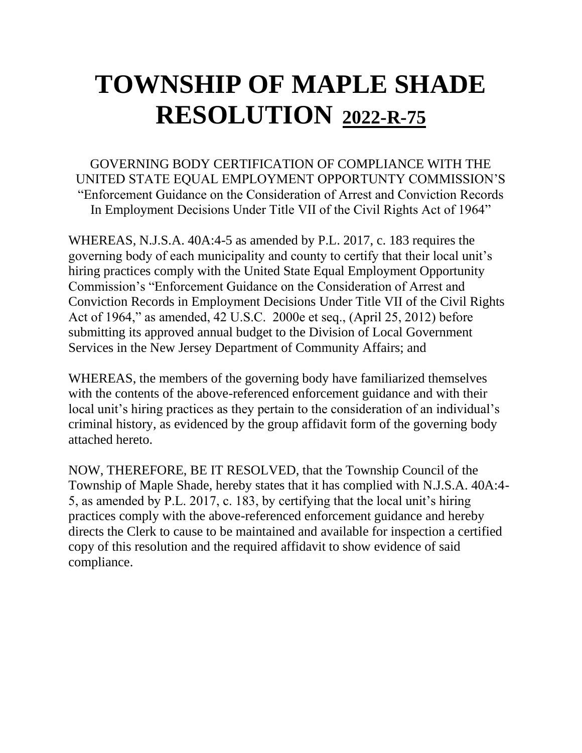GOVERNING BODY CERTIFICATION OF COMPLIANCE WITH THE UNITED STATE EQUAL EMPLOYMENT OPPORTUNTY COMMISSION'S "Enforcement Guidance on the Consideration of Arrest and Conviction Records In Employment Decisions Under Title VII of the Civil Rights Act of 1964"

WHEREAS, N.J.S.A. 40A:4-5 as amended by P.L. 2017, c. 183 requires the governing body of each municipality and county to certify that their local unit's hiring practices comply with the United State Equal Employment Opportunity Commission's "Enforcement Guidance on the Consideration of Arrest and Conviction Records in Employment Decisions Under Title VII of the Civil Rights Act of 1964," as amended, 42 U.S.C. 2000e et seq., (April 25, 2012) before submitting its approved annual budget to the Division of Local Government Services in the New Jersey Department of Community Affairs; and

WHEREAS, the members of the governing body have familiarized themselves with the contents of the above-referenced enforcement guidance and with their local unit's hiring practices as they pertain to the consideration of an individual's criminal history, as evidenced by the group affidavit form of the governing body attached hereto.

NOW, THEREFORE, BE IT RESOLVED, that the Township Council of the Township of Maple Shade, hereby states that it has complied with N.J.S.A. 40A:4- 5, as amended by P.L. 2017, c. 183, by certifying that the local unit's hiring practices comply with the above-referenced enforcement guidance and hereby directs the Clerk to cause to be maintained and available for inspection a certified copy of this resolution and the required affidavit to show evidence of said compliance.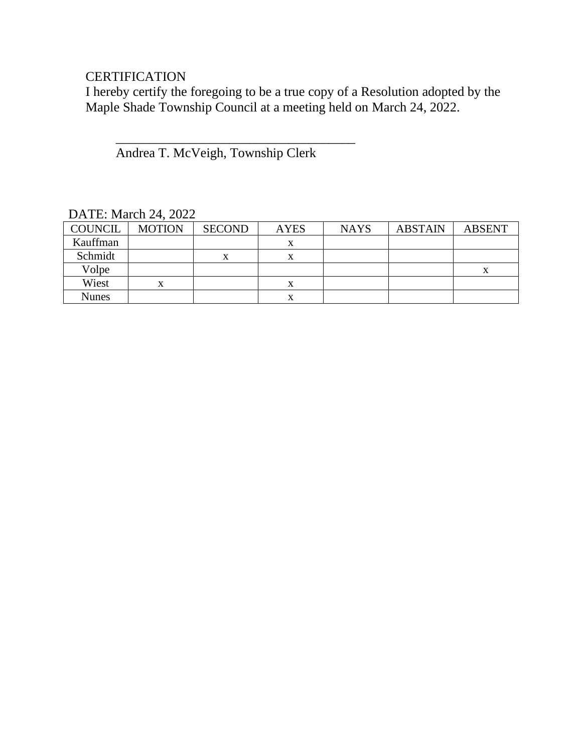## **CERTIFICATION**

I hereby certify the foregoing to be a true copy of a Resolution adopted by the Maple Shade Township Council at a meeting held on March 24, 2022.

Andrea T. McVeigh, Township Clerk

 $\overline{\phantom{a}}$  ,  $\overline{\phantom{a}}$  ,  $\overline{\phantom{a}}$  ,  $\overline{\phantom{a}}$  ,  $\overline{\phantom{a}}$  ,  $\overline{\phantom{a}}$  ,  $\overline{\phantom{a}}$  ,  $\overline{\phantom{a}}$  ,  $\overline{\phantom{a}}$  ,  $\overline{\phantom{a}}$  ,  $\overline{\phantom{a}}$  ,  $\overline{\phantom{a}}$  ,  $\overline{\phantom{a}}$  ,  $\overline{\phantom{a}}$  ,  $\overline{\phantom{a}}$  ,  $\overline{\phantom{a}}$ 

| $P1$ , $P2$ , $P3$ , $P4$ |               |               |             |             |                |               |  |  |
|---------------------------|---------------|---------------|-------------|-------------|----------------|---------------|--|--|
| <b>COUNCIL</b>            | <b>MOTION</b> | <b>SECOND</b> | <b>AYES</b> | <b>NAYS</b> | <b>ABSTAIN</b> | <b>ABSENT</b> |  |  |
| Kauffman                  |               |               | х           |             |                |               |  |  |
| Schmidt                   |               | x             | x           |             |                |               |  |  |
| Volpe                     |               |               |             |             |                | л             |  |  |
| Wiest                     | л             |               | л           |             |                |               |  |  |
| <b>Nunes</b>              |               |               |             |             |                |               |  |  |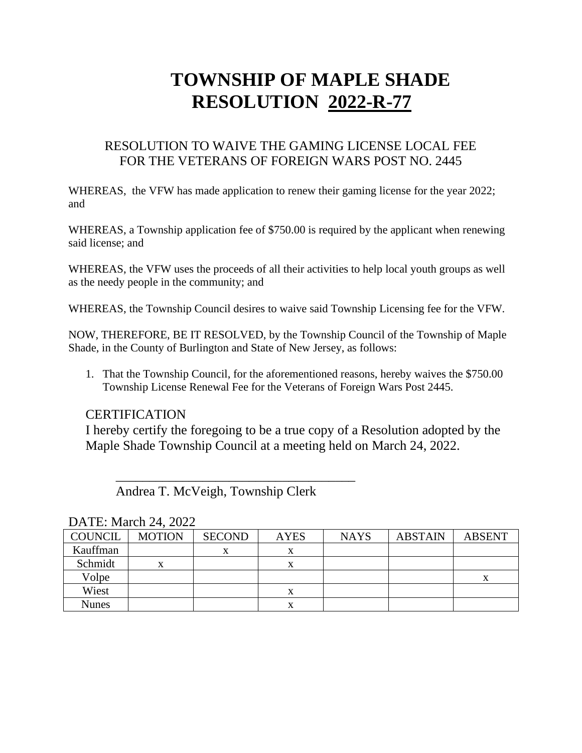### RESOLUTION TO WAIVE THE GAMING LICENSE LOCAL FEE FOR THE VETERANS OF FOREIGN WARS POST NO. 2445

WHEREAS, the VFW has made application to renew their gaming license for the year 2022; and

WHEREAS, a Township application fee of \$750.00 is required by the applicant when renewing said license; and

WHEREAS, the VFW uses the proceeds of all their activities to help local youth groups as well as the needy people in the community; and

WHEREAS, the Township Council desires to waive said Township Licensing fee for the VFW.

NOW, THEREFORE, BE IT RESOLVED, by the Township Council of the Township of Maple Shade, in the County of Burlington and State of New Jersey, as follows:

1. That the Township Council, for the aforementioned reasons, hereby waives the \$750.00 Township License Renewal Fee for the Veterans of Foreign Wars Post 2445.

### **CERTIFICATION**

I hereby certify the foregoing to be a true copy of a Resolution adopted by the Maple Shade Township Council at a meeting held on March 24, 2022.

Andrea T. McVeigh, Township Clerk

 $\frac{1}{\sqrt{2}}$  ,  $\frac{1}{\sqrt{2}}$  ,  $\frac{1}{\sqrt{2}}$  ,  $\frac{1}{\sqrt{2}}$  ,  $\frac{1}{\sqrt{2}}$  ,  $\frac{1}{\sqrt{2}}$  ,  $\frac{1}{\sqrt{2}}$  ,  $\frac{1}{\sqrt{2}}$  ,  $\frac{1}{\sqrt{2}}$  ,  $\frac{1}{\sqrt{2}}$  ,  $\frac{1}{\sqrt{2}}$  ,  $\frac{1}{\sqrt{2}}$  ,  $\frac{1}{\sqrt{2}}$  ,  $\frac{1}{\sqrt{2}}$  ,  $\frac{1}{\sqrt{2}}$ 

| <b>COUNCIL</b> | <b>MOTION</b> | <b>SECOND</b> | <b>AYES</b> | <b>NAYS</b> | <b>ABSTAIN</b> | <b>ABSENT</b> |  |
|----------------|---------------|---------------|-------------|-------------|----------------|---------------|--|
| Kauffman       |               | v             | v           |             |                |               |  |
| Schmidt        |               |               | л           |             |                |               |  |
| Volpe          |               |               |             |             |                | Δ             |  |
| Wiest          |               |               | л           |             |                |               |  |
| Nunes          |               |               |             |             |                |               |  |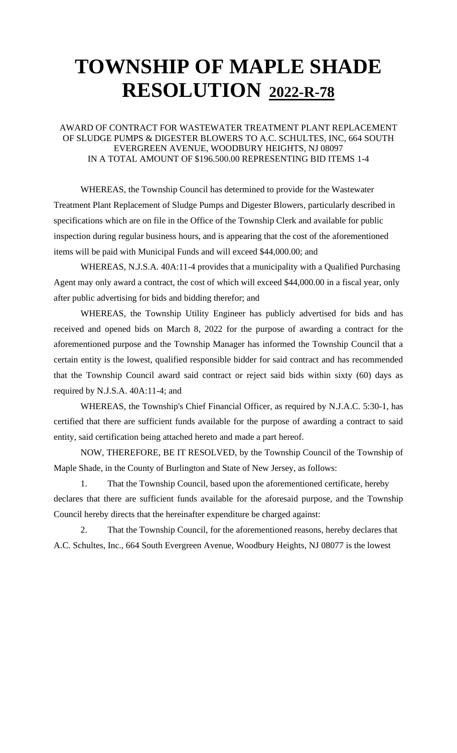### AWARD OF CONTRACT FOR WASTEWATER TREATMENT PLANT REPLACEMENT OF SLUDGE PUMPS & DIGESTER BLOWERS TO A.C. SCHULTES, INC, 664 SOUTH EVERGREEN AVENUE, WOODBURY HEIGHTS, NJ 08097 IN A TOTAL AMOUNT OF \$196.500.00 REPRESENTING BID ITEMS 1-4

WHEREAS, the Township Council has determined to provide for the Wastewater Treatment Plant Replacement of Sludge Pumps and Digester Blowers, particularly described in specifications which are on file in the Office of the Township Clerk and available for public inspection during regular business hours, and is appearing that the cost of the aforementioned items will be paid with Municipal Funds and will exceed \$44,000.00; and

WHEREAS, N.J.S.A. 40A:11-4 provides that a municipality with a Qualified Purchasing Agent may only award a contract, the cost of which will exceed \$44,000.00 in a fiscal year, only after public advertising for bids and bidding therefor; and

WHEREAS, the Township Utility Engineer has publicly advertised for bids and has received and opened bids on March 8, 2022 for the purpose of awarding a contract for the aforementioned purpose and the Township Manager has informed the Township Council that a certain entity is the lowest, qualified responsible bidder for said contract and has recommended that the Township Council award said contract or reject said bids within sixty (60) days as required by N.J.S.A. 40A:11-4; and

WHEREAS, the Township's Chief Financial Officer, as required by N.J.A.C. 5:30-1, has certified that there are sufficient funds available for the purpose of awarding a contract to said entity, said certification being attached hereto and made a part hereof.

NOW, THEREFORE, BE IT RESOLVED, by the Township Council of the Township of Maple Shade, in the County of Burlington and State of New Jersey, as follows:

1. That the Township Council, based upon the aforementioned certificate, hereby declares that there are sufficient funds available for the aforesaid purpose, and the Township Council hereby directs that the hereinafter expenditure be charged against:

2. That the Township Council, for the aforementioned reasons, hereby declares that A.C. Schultes, Inc., 664 South Evergreen Avenue, Woodbury Heights, NJ 08077 is the lowest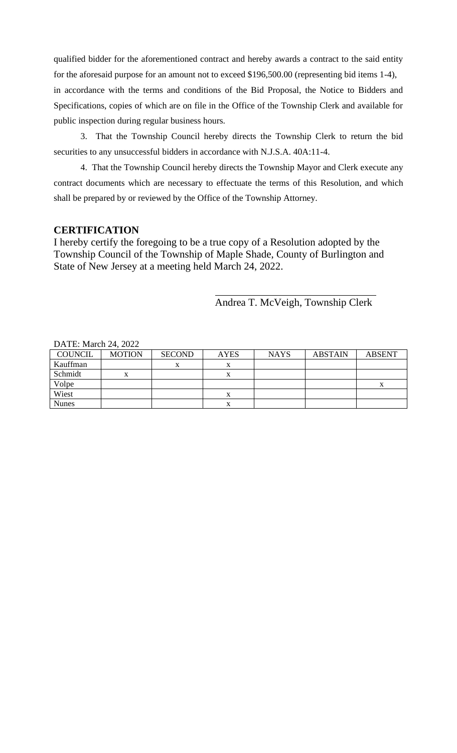qualified bidder for the aforementioned contract and hereby awards a contract to the said entity for the aforesaid purpose for an amount not to exceed \$196,500.00 (representing bid items 1-4),

in accordance with the terms and conditions of the Bid Proposal, the Notice to Bidders and Specifications, copies of which are on file in the Office of the Township Clerk and available for public inspection during regular business hours.

3. That the Township Council hereby directs the Township Clerk to return the bid securities to any unsuccessful bidders in accordance with N.J.S.A. 40A:11-4.

4. That the Township Council hereby directs the Township Mayor and Clerk execute any contract documents which are necessary to effectuate the terms of this Resolution, and which shall be prepared by or reviewed by the Office of the Township Attorney.

### **CERTIFICATION**

I hereby certify the foregoing to be a true copy of a Resolution adopted by the Township Council of the Township of Maple Shade, County of Burlington and State of New Jersey at a meeting held March 24, 2022.

Andrea T. McVeigh, Township Clerk

| $D1$ and $C1$ and $D2$ and $D3$ and $D4$ and $D5$ and $D6$ and $D7$ and $D8$ and $D9$ and $D9$ and $D9$ and $D9$ and $D9$ and $D9$ |               |               |             |             |                |               |  |  |
|------------------------------------------------------------------------------------------------------------------------------------|---------------|---------------|-------------|-------------|----------------|---------------|--|--|
| <b>COUNCIL</b>                                                                                                                     | <b>MOTION</b> | <b>SECOND</b> | <b>AYES</b> | <b>NAYS</b> | <b>ABSTAIN</b> | <b>ABSENT</b> |  |  |
| Kauffman                                                                                                                           |               | л             | $\Lambda$   |             |                |               |  |  |
| Schmidt                                                                                                                            |               |               |             |             |                |               |  |  |
| Volpe                                                                                                                              |               |               |             |             |                |               |  |  |
| Wiest                                                                                                                              |               |               | $\lambda$   |             |                |               |  |  |
| <b>Nunes</b>                                                                                                                       |               |               |             |             |                |               |  |  |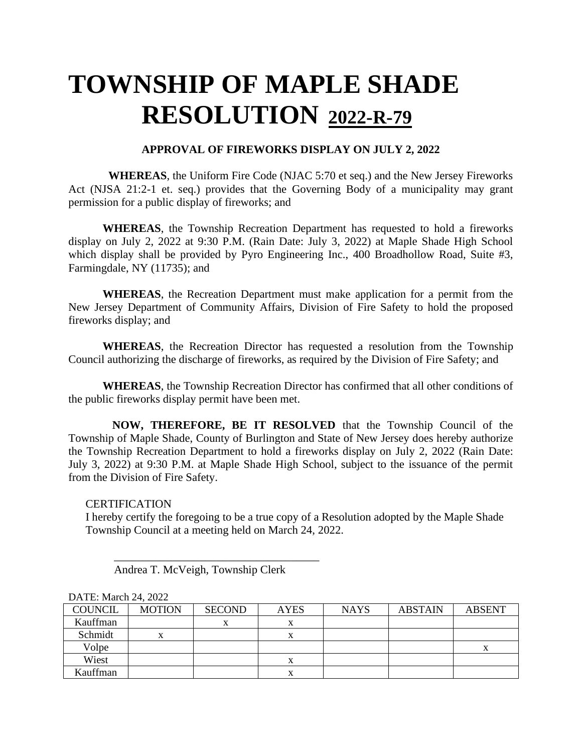#### **APPROVAL OF FIREWORKS DISPLAY ON JULY 2, 2022**

 **WHEREAS**, the Uniform Fire Code (NJAC 5:70 et seq.) and the New Jersey Fireworks Act (NJSA 21:2-1 et. seq.) provides that the Governing Body of a municipality may grant permission for a public display of fireworks; and

**WHEREAS**, the Township Recreation Department has requested to hold a fireworks display on July 2, 2022 at 9:30 P.M. (Rain Date: July 3, 2022) at Maple Shade High School which display shall be provided by Pyro Engineering Inc., 400 Broadhollow Road, Suite #3, Farmingdale, NY (11735); and

**WHEREAS**, the Recreation Department must make application for a permit from the New Jersey Department of Community Affairs, Division of Fire Safety to hold the proposed fireworks display; and

**WHEREAS**, the Recreation Director has requested a resolution from the Township Council authorizing the discharge of fireworks, as required by the Division of Fire Safety; and

**WHEREAS**, the Township Recreation Director has confirmed that all other conditions of the public fireworks display permit have been met.

 **NOW, THEREFORE, BE IT RESOLVED** that the Township Council of the Township of Maple Shade, County of Burlington and State of New Jersey does hereby authorize the Township Recreation Department to hold a fireworks display on July 2, 2022 (Rain Date: July 3, 2022) at 9:30 P.M. at Maple Shade High School, subject to the issuance of the permit from the Division of Fire Safety.

**CERTIFICATION** 

I hereby certify the foregoing to be a true copy of a Resolution adopted by the Maple Shade Township Council at a meeting held on March 24, 2022.

Andrea T. McVeigh, Township Clerk

 $\overline{\phantom{a}}$  , which is the set of the set of the set of the set of the set of the set of the set of the set of the set of the set of the set of the set of the set of the set of the set of the set of the set of the set of

| <b>COUNCIL</b> | <b>MOTION</b> | <b>SECOND</b> | <b>AYES</b> | <b>NAYS</b> | <b>ABSTAIN</b> | <b>ABSENT</b> |
|----------------|---------------|---------------|-------------|-------------|----------------|---------------|
| Kauffman       |               |               | x           |             |                |               |
| Schmidt        | x             |               | л           |             |                |               |
| Volpe          |               |               |             |             |                |               |
| Wiest          |               |               | л           |             |                |               |
| Kauffman       |               |               | л           |             |                |               |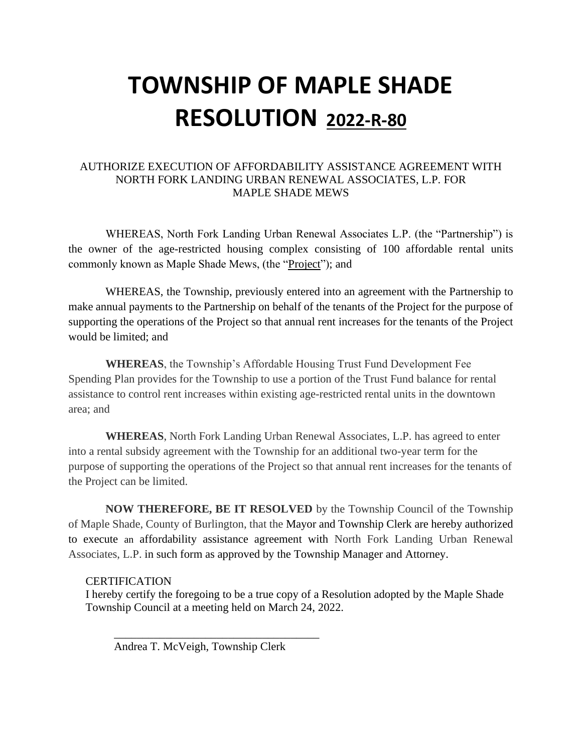### AUTHORIZE EXECUTION OF AFFORDABILITY ASSISTANCE AGREEMENT WITH NORTH FORK LANDING URBAN RENEWAL ASSOCIATES, L.P. FOR MAPLE SHADE MEWS

WHEREAS, North Fork Landing Urban Renewal Associates L.P. (the "Partnership") is the owner of the age-restricted housing complex consisting of 100 affordable rental units commonly known as Maple Shade Mews, (the "Project"); and

WHEREAS, the Township, previously entered into an agreement with the Partnership to make annual payments to the Partnership on behalf of the tenants of the Project for the purpose of supporting the operations of the Project so that annual rent increases for the tenants of the Project would be limited; and

**WHEREAS**, the Township's Affordable Housing Trust Fund Development Fee Spending Plan provides for the Township to use a portion of the Trust Fund balance for rental assistance to control rent increases within existing age-restricted rental units in the downtown area; and

**WHEREAS**, North Fork Landing Urban Renewal Associates, L.P. has agreed to enter into a rental subsidy agreement with the Township for an additional two-year term for the purpose of supporting the operations of the Project so that annual rent increases for the tenants of the Project can be limited.

**NOW THEREFORE, BE IT RESOLVED** by the Township Council of the Township of Maple Shade, County of Burlington, that the Mayor and Township Clerk are hereby authorized to execute an affordability assistance agreement with North Fork Landing Urban Renewal Associates, L.P. in such form as approved by the Township Manager and Attorney.

#### **CERTIFICATION**

I hereby certify the foregoing to be a true copy of a Resolution adopted by the Maple Shade Township Council at a meeting held on March 24, 2022.

Andrea T. McVeigh, Township Clerk

 $\overline{\phantom{a}}$  , which is the set of the set of the set of the set of the set of the set of the set of the set of the set of the set of the set of the set of the set of the set of the set of the set of the set of the set of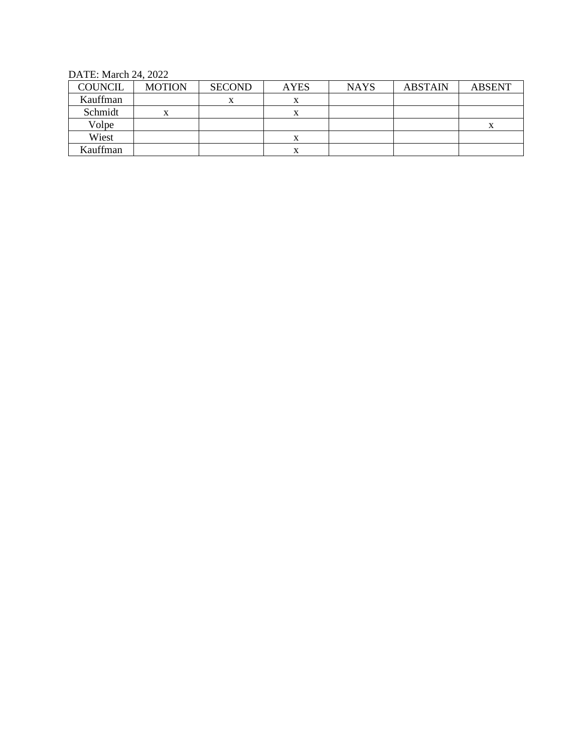DATE: March 24, 2022

| <b>COUNCIL</b> | <b>MOTION</b> | <b>SECOND</b> | <b>AYES</b> | <b>NAYS</b> | <b>ABSTAIN</b> | <b>ABSENT</b> |
|----------------|---------------|---------------|-------------|-------------|----------------|---------------|
| Kauffman       |               |               | л           |             |                |               |
| Schmidt        | x             |               | л           |             |                |               |
| Volpe          |               |               |             |             |                | X             |
| Wiest          |               |               | л           |             |                |               |
| Kauffman       |               |               | Δ           |             |                |               |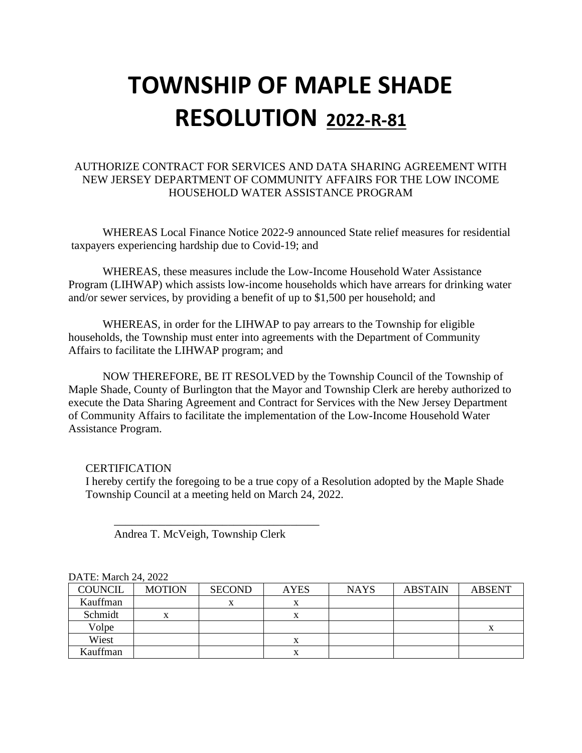### AUTHORIZE CONTRACT FOR SERVICES AND DATA SHARING AGREEMENT WITH NEW JERSEY DEPARTMENT OF COMMUNITY AFFAIRS FOR THE LOW INCOME HOUSEHOLD WATER ASSISTANCE PROGRAM

WHEREAS Local Finance Notice 2022-9 announced State relief measures for residential taxpayers experiencing hardship due to Covid-19; and

WHEREAS, these measures include the Low-Income Household Water Assistance Program (LIHWAP) which assists low-income households which have arrears for drinking water and/or sewer services, by providing a benefit of up to \$1,500 per household; and

WHEREAS, in order for the LIHWAP to pay arrears to the Township for eligible households, the Township must enter into agreements with the Department of Community Affairs to facilitate the LIHWAP program; and

NOW THEREFORE, BE IT RESOLVED by the Township Council of the Township of Maple Shade, County of Burlington that the Mayor and Township Clerk are hereby authorized to execute the Data Sharing Agreement and Contract for Services with the New Jersey Department of Community Affairs to facilitate the implementation of the Low-Income Household Water Assistance Program.

#### **CERTIFICATION**

I hereby certify the foregoing to be a true copy of a Resolution adopted by the Maple Shade Township Council at a meeting held on March 24, 2022.

Andrea T. McVeigh, Township Clerk

 $\overline{\phantom{a}}$  , which is the set of the set of the set of the set of the set of the set of the set of the set of the set of the set of the set of the set of the set of the set of the set of the set of the set of the set of

| <b>COUNCIL</b> | <b>MOTION</b> | <b>SECOND</b> | <b>AYES</b> | <b>NAYS</b> | <b>ABSTAIN</b> | <b>ABSENT</b> |  |
|----------------|---------------|---------------|-------------|-------------|----------------|---------------|--|
| Kauffman       |               | $\mathbf{v}$  | л           |             |                |               |  |
| Schmidt        |               |               |             |             |                |               |  |
| Volpe          |               |               |             |             |                |               |  |
| Wiest          |               |               |             |             |                |               |  |
| Kauffman       |               |               |             |             |                |               |  |